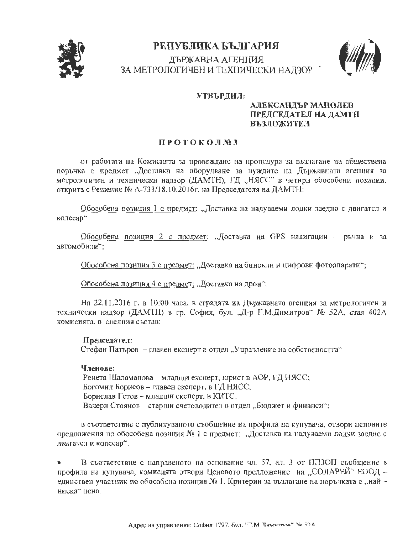

# РЕПУБЛИКА БЪЛГАРИЯ ДЪРЖАВНА АГЕНЦИЯ ЗА МЕТРОЛОГИЧЕН И ТЕХНИЧЕСКИ НАДЗОР :



## УТВЪРДИЛ:

# АЛЕКСАНДЪР МАНОЛЕВ ПРЕДСЕДАТЕЛ НА ДАМТН **ВЪЗЛОЖИТЕЛ**

# ПРОТОКОЛ№З

от работата на Комиснята за провеждане на процедура за възлагане на обществена поръчка с нредмет "Доставка на оборудване за нуждите на Държавната агенция за метрологичен и технически надзор (ДАМТН), ГД "НЯСС" в четири обособени позиции, открита с Решение № А-733/18.10.2016г. на Председателя на ДАМТН:

Обособена позиция 1 с нредмет: "Доставка на надуваеми лодки заедно с двигател и колесар"

Обособена позиция 2 с предмет: "Доставка на GPS навигации - ръчна и за автомобили":

Обособена позиция 3 с предмет: "Доставка на бинокли и цифрови фотоапарати";

Обособена позиция 4 с предмет: "Доставка на дрон";

На 22.11.2016 г. в 10:00 часа, в сградата на Държавната агенция за метрологичен и технически надзор (ДАМТН) в гр. София, бул. "Д-р Г.М.Димитров" № 52А, стая 402А комисията, в следния състав:

#### Председател:

Стефан Патъров – главен експерт в отдел "Управление на собствеността"

#### Членове:

Ренета Шаламанова – младши екснерт, юрист в АОР, ГД НЯСС; Богомил Борисов - главен експерт, в ГД НЯСС; Борислав Гетов - младши експерт, в КИТС; Валери Стоянов – старши счетоводител в отдел "Бюджет и финанси";

в съответствие с публикуваното съобщение на профила на купувача, отвори ценовите предложения по обособена позиция № 1 с нредмет: "Доставка на надуваеми лодки заедно с двигател и колесар".

В съответствие с направеното на основание чл. 57, ал. 3 от ППЗОП съобщение в профила на купувача, комисията отвори Ценовото предложение на "СОЛАРЕЙ" ЕООД единствен участник по обособена нозиция № 1. Критерии за възлагане на поръчката е "найниска" цена.